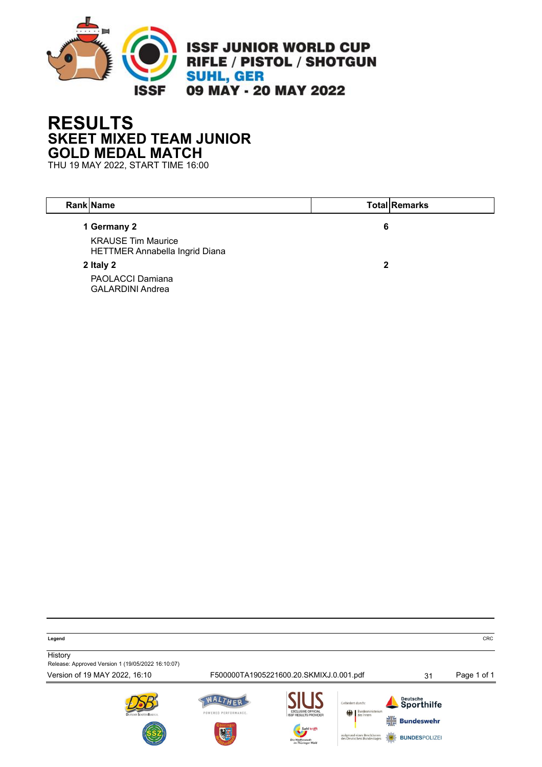

## **RESULTS SKEET MIXED TEAM JUNIOR GOLD MEDAL MATCH**

THU 19 MAY 2022, START TIME 16:00

| <b>Rank Name</b>                                            |   | <b>Total Remarks</b> |
|-------------------------------------------------------------|---|----------------------|
| 1 Germany 2                                                 | 6 |                      |
| <b>KRAUSE Tim Maurice</b><br>HETTMER Annabella Ingrid Diana |   |                      |
| 2 Italy 2                                                   | 2 |                      |
| <b>PAOLACCI Damiana</b><br><b>GALARDINI Andrea</b>          |   |                      |

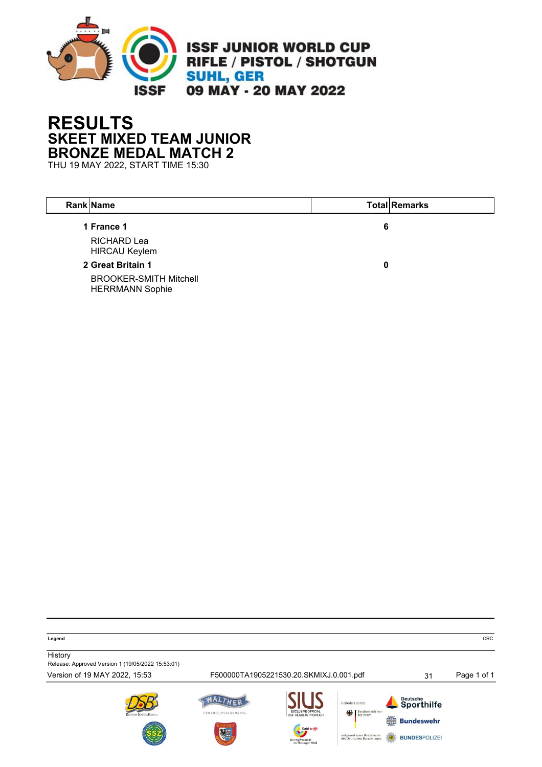

## **RESULTS SKEET MIXED TEAM JUNIOR BRONZE MEDAL MATCH 2**

THU 19 MAY 2022, START TIME 15:30

| Rank Name                                               |   | <b>Total Remarks</b> |
|---------------------------------------------------------|---|----------------------|
| 1 France 1                                              | 6 |                      |
| <b>RICHARD Lea</b><br><b>HIRCAU Keylem</b>              |   |                      |
| 2 Great Britain 1                                       | 0 |                      |
| <b>BROOKER-SMITH Mitchell</b><br><b>HERRMANN Sophie</b> |   |                      |

**Legend** CRC

**History** Release: Approved Version 1 (19/05/2022 15:53:01)

Version of 19 MAY 2022, 15:53 F500000TA1905221530.20.SKMIXJ.0.001.pdf 31 Page 1 of 1









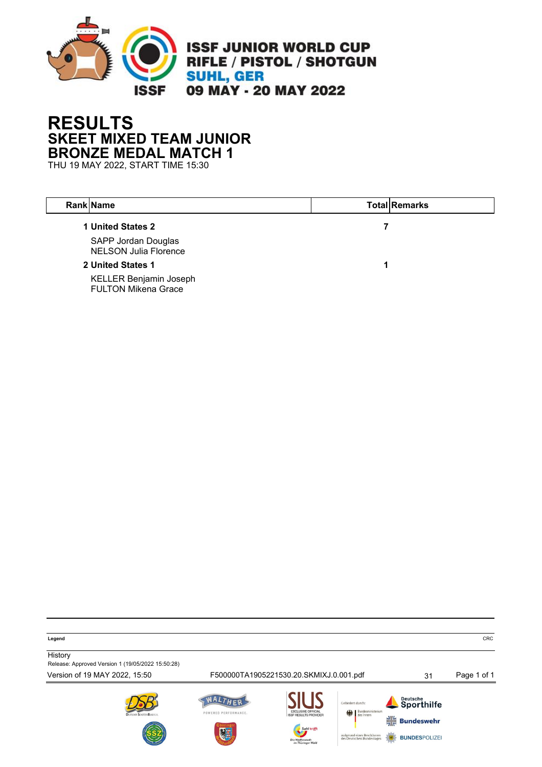

## **RESULTS SKEET MIXED TEAM JUNIOR BRONZE MEDAL MATCH 1**

THU 19 MAY 2022, START TIME 15:30

 $\overline{\phantom{a}}$ 

| <b>Rank Name</b>                                            | <b>Total Remarks</b> |
|-------------------------------------------------------------|----------------------|
| 1 United States 2                                           |                      |
| SAPP Jordan Douglas<br><b>NELSON Julia Florence</b>         |                      |
| 2 United States 1                                           |                      |
| <b>KELLER Benjamin Joseph</b><br><b>FULTON Mikena Grace</b> |                      |

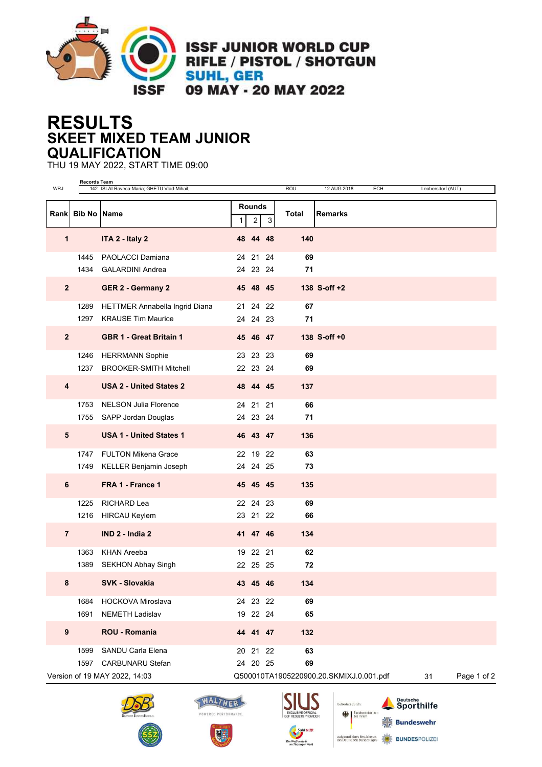

**ISSF JUNIOR WORLD CUP** RIFLE / PISTOL / SHOTGUN **SUHL, GER** 09 MAY - 20 MAY 2022

**RESULTS SKEET MIXED TEAM JUNIOR QUALIFICATION**

THU 19 MAY 2022, START TIME 09:00

| <b>WRJ</b>              | <b>Records Team</b> | 142 ISLAI Raveca-Maria; GHETU Vlad-Mihail;                  |              |                                 |    | ROU      | 12 AUG 2018                             | ECH | Leobersdorf (AUT) |             |
|-------------------------|---------------------|-------------------------------------------------------------|--------------|---------------------------------|----|----------|-----------------------------------------|-----|-------------------|-------------|
|                         | Rank Bib No Name    |                                                             | $\mathbf{1}$ | <b>Rounds</b><br>$\overline{c}$ | 3  | Total    | <b>Remarks</b>                          |     |                   |             |
| 1                       |                     | ITA 2 - Italy 2                                             |              | 48 44 48                        |    | 140      |                                         |     |                   |             |
|                         | 1445<br>1434        | PAOLACCI Damiana<br><b>GALARDINI Andrea</b>                 |              | 24 21 24<br>24 23 24            |    | 69<br>71 |                                         |     |                   |             |
| $\overline{2}$          |                     | <b>GER 2 - Germany 2</b>                                    |              | 45 48 45                        |    |          | 138 S-off +2                            |     |                   |             |
|                         | 1289<br>1297        | HETTMER Annabella Ingrid Diana<br><b>KRAUSE Tim Maurice</b> |              | 21 24 22<br>24 24 23            |    | 67<br>71 |                                         |     |                   |             |
| $\overline{2}$          |                     | <b>GBR 1 - Great Britain 1</b>                              |              | 45 46 47                        |    |          | 138 S-off $+0$                          |     |                   |             |
|                         | 1246<br>1237        | <b>HERRMANN Sophie</b><br><b>BROOKER-SMITH Mitchell</b>     |              | 23 23 23<br>22 23 24            |    | 69<br>69 |                                         |     |                   |             |
| $\overline{\mathbf{4}}$ |                     | <b>USA 2 - United States 2</b>                              |              | 48 44 45                        |    | 137      |                                         |     |                   |             |
|                         | 1753                | <b>NELSON Julia Florence</b><br>1755 SAPP Jordan Douglas    |              | 24 21<br>24 23 24               | 21 | 66<br>71 |                                         |     |                   |             |
| $5\phantom{1}$          |                     | <b>USA 1 - United States 1</b>                              |              | 46 43 47                        |    | 136      |                                         |     |                   |             |
|                         | 1749                | 1747 FULTON Mikena Grace<br>KELLER Benjamin Joseph          |              | 22 19 22<br>24 24 25            |    | 63<br>73 |                                         |     |                   |             |
| 6                       |                     | FRA 1 - France 1                                            |              | 45 45 45                        |    | 135      |                                         |     |                   |             |
|                         | 1225                | RICHARD Lea                                                 |              | 22 24 23                        |    | 69       |                                         |     |                   |             |
|                         | 1216                | <b>HIRCAU Keylem</b>                                        |              | 23 21 22                        |    | 66       |                                         |     |                   |             |
| $\overline{7}$          |                     | IND 2 - India 2                                             |              | 41 47 46                        |    | 134      |                                         |     |                   |             |
|                         | 1363<br>1389        | <b>KHAN Areeba</b><br><b>SEKHON Abhay Singh</b>             |              | 19 22 21<br>22 25 25            |    | 62<br>72 |                                         |     |                   |             |
| 8                       |                     | <b>SVK - Slovakia</b>                                       |              | 43 45 46                        |    | 134      |                                         |     |                   |             |
|                         | 1684<br>1691        | <b>HOCKOVA Miroslava</b><br><b>NEMETH Ladislav</b>          |              | 24 23 22<br>19 22 24            |    | 69<br>65 |                                         |     |                   |             |
| $\boldsymbol{9}$        |                     | ROU - Romania                                               |              | 44 41 47                        |    | 132      |                                         |     |                   |             |
|                         | 1599                | SANDU Carla Elena                                           |              | 20 21 22                        |    | 63       |                                         |     |                   |             |
|                         | 1597                | CARBUNARU Stefan<br>Version of 19 MAY 2022, 14:03           |              | 24 20 25                        |    | 69       | Q500010TA1905220900.20.SKMIXJ.0.001.pdf |     | 31                | Page 1 of 2 |